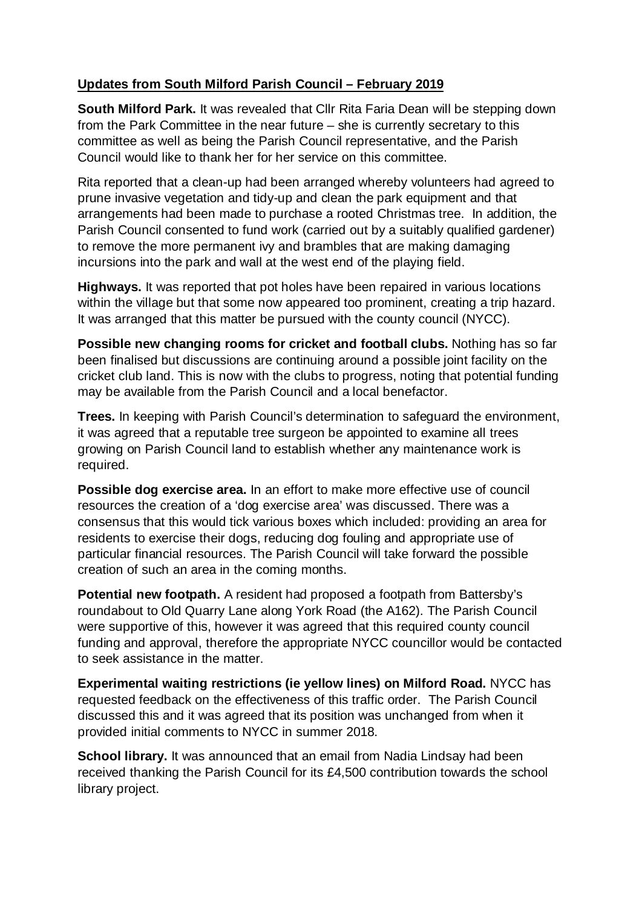## **Updates from South Milford Parish Council – February 2019**

**South Milford Park.** It was revealed that Cllr Rita Faria Dean will be stepping down from the Park Committee in the near future – she is currently secretary to this committee as well as being the Parish Council representative, and the Parish Council would like to thank her for her service on this committee.

Rita reported that a clean-up had been arranged whereby volunteers had agreed to prune invasive vegetation and tidy-up and clean the park equipment and that arrangements had been made to purchase a rooted Christmas tree. In addition, the Parish Council consented to fund work (carried out by a suitably qualified gardener) to remove the more permanent ivy and brambles that are making damaging incursions into the park and wall at the west end of the playing field.

**Highways.** It was reported that pot holes have been repaired in various locations within the village but that some now appeared too prominent, creating a trip hazard. It was arranged that this matter be pursued with the county council (NYCC).

**Possible new changing rooms for cricket and football clubs.** Nothing has so far been finalised but discussions are continuing around a possible joint facility on the cricket club land. This is now with the clubs to progress, noting that potential funding may be available from the Parish Council and a local benefactor.

**Trees.** In keeping with Parish Council's determination to safeguard the environment, it was agreed that a reputable tree surgeon be appointed to examine all trees growing on Parish Council land to establish whether any maintenance work is required.

**Possible dog exercise area.** In an effort to make more effective use of council resources the creation of a 'dog exercise area' was discussed. There was a consensus that this would tick various boxes which included: providing an area for residents to exercise their dogs, reducing dog fouling and appropriate use of particular financial resources. The Parish Council will take forward the possible creation of such an area in the coming months.

**Potential new footpath.** A resident had proposed a footpath from Battersby's roundabout to Old Quarry Lane along York Road (the A162). The Parish Council were supportive of this, however it was agreed that this required county council funding and approval, therefore the appropriate NYCC councillor would be contacted to seek assistance in the matter.

**Experimental waiting restrictions (ie yellow lines) on Milford Road.** NYCC has requested feedback on the effectiveness of this traffic order. The Parish Council discussed this and it was agreed that its position was unchanged from when it provided initial comments to NYCC in summer 2018.

**School library.** It was announced that an email from Nadia Lindsay had been received thanking the Parish Council for its £4,500 contribution towards the school library project.